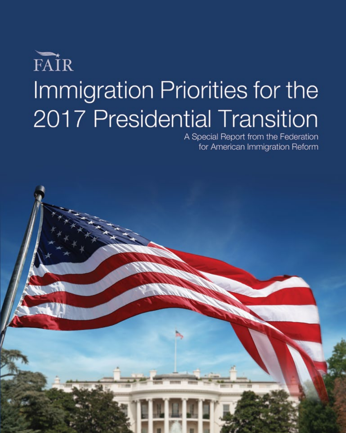# FAIR Immigration Priorities for the 2017 Presidential Transition

A Special Report from the Federation for American Immigration Reform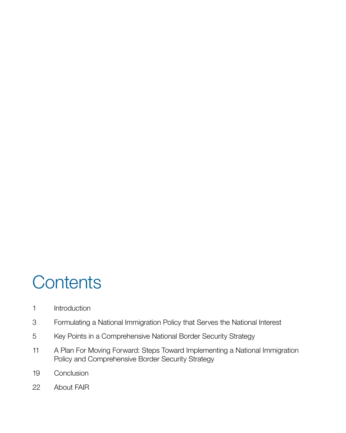## **Contents**

- [Introduction](#page-4-0)
- [Formulating a National Immigration Policy that Serves the National Interest](#page-6-0)
- [Key Points in a Comprehensive National Border Security Strategy](#page-8-0)
- [A Plan For Moving Forward: Steps Toward Implementing a National Immigration](#page-14-0)  [Policy and Comprehensive Border Security Strategy](#page-14-0)
- [Conclusion](#page-22-0)
- [About F](#page-25-0)AIR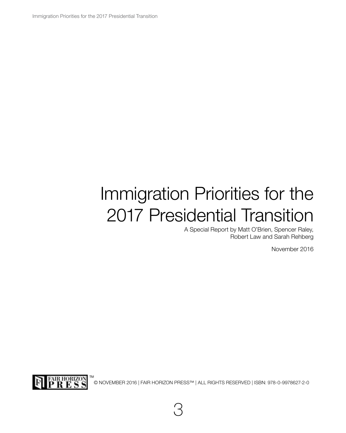Immigration Priorities for the 2017 Presidential Transition

## Immigration Priorities for the 2017 Presidential Transition

A Special Report by Matt O'Brien, Spencer Raley, Robert Law and Sarah Rehberg

November 2016



© NOVEMBER 2016 | FAIR HORIZON PRESS™ | ALL RIGHTS RESERVED | ISBN: 978-0-9978627-2-0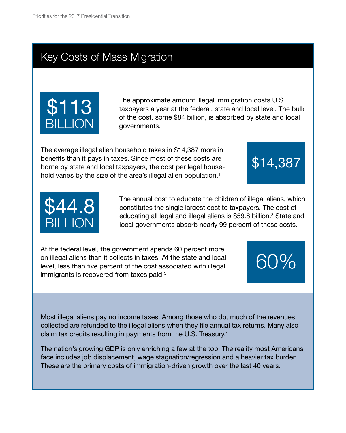### Key Costs of Mass Migration



The approximate amount illegal immigration costs U.S. taxpayers a year at the federal, state and local level. The bulk of the cost, some \$84 billion, is absorbed by state and local governments.

The average illegal alien household takes in \$14,387 more in benefits than it pays in taxes. Since most of these costs are borne by state and local taxpayers, the cost per legal household varies by the size of the area's illegal alien population.<sup>1</sup>



The annual cost to educate the children of illegal aliens, which constitutes the single largest cost to taxpayers. The cost of educating all legal and illegal aliens is \$59.8 billion.<sup>2</sup> State and local governments absorb nearly 99 percent of these costs.

\$14,387

 $50\%$ 

At the federal level, the government spends 60 percent more on illegal aliens than it collects in taxes. At the state and local level, less than five percent of the cost associated with illegal immigrants is recovered from taxes paid.3

Most illegal aliens pay no income taxes. Among those who do, much of the revenues collected are refunded to the illegal aliens when they file annual tax returns. Many also claim tax credits resulting in payments from the U.S. Treasury.4

The nation's growing GDP is only enriching a few at the top. The reality most Americans face includes job displacement, wage stagnation/regression and a heavier tax burden. These are the primary costs of immigration-driven growth over the last 40 years.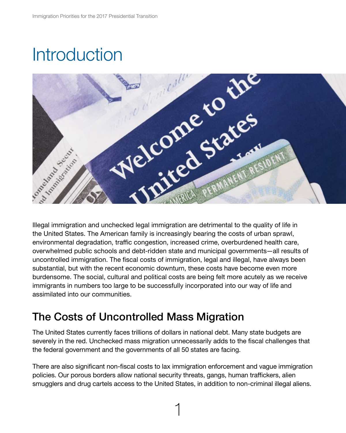<span id="page-4-0"></span>

Illegal immigration and unchecked legal immigration are detrimental to the quality of life in the United States. The American family is increasingly bearing the costs of urban sprawl, environmental degradation, traffic congestion, increased crime, overburdened health care, overwhelmed public schools and debt-ridden state and municipal governments—all results of uncontrolled immigration. The fiscal costs of immigration, legal and illegal, have always been substantial, but with the recent economic downturn, these costs have become even more burdensome. The social, cultural and political costs are being felt more acutely as we receive immigrants in numbers too large to be successfully incorporated into our way of life and assimilated into our communities.

### The Costs of Uncontrolled Mass Migration

The United States currently faces trillions of dollars in national debt. Many state budgets are severely in the red. Unchecked mass migration unnecessarily adds to the fiscal challenges that the federal government and the governments of all 50 states are facing.

There are also significant non-fiscal costs to lax immigration enforcement and vague immigration policies. Our porous borders allow national security threats, gangs, human traffickers, alien smugglers and drug cartels access to the United States, in addition to non-criminal illegal aliens.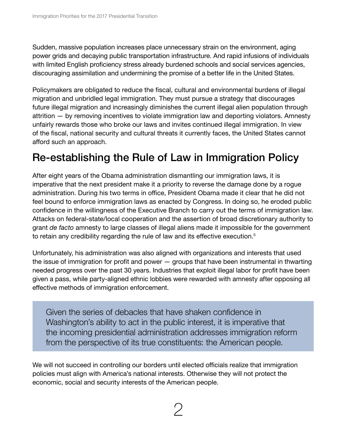Sudden, massive population increases place unnecessary strain on the environment, aging power grids and decaying public transportation infrastructure. And rapid infusions of individuals with limited English proficiency stress already burdened schools and social services agencies, discouraging assimilation and undermining the promise of a better life in the United States.

Policymakers are obligated to reduce the fiscal, cultural and environmental burdens of illegal migration and unbridled legal immigration. They must pursue a strategy that discourages future illegal migration and increasingly diminishes the current illegal alien population through attrition — by removing incentives to violate immigration law and deporting violators. Amnesty unfairly rewards those who broke our laws and invites continued illegal immigration. In view of the fiscal, national security and cultural threats it currently faces, the United States cannot afford such an approach.

### Re-establishing the Rule of Law in Immigration Policy

After eight years of the Obama administration dismantling our immigration laws, it is imperative that the next president make it a priority to reverse the damage done by a rogue administration. During his two terms in office, President Obama made it clear that he did not feel bound to enforce immigration laws as enacted by Congress. In doing so, he eroded public confidence in the willingness of the Executive Branch to carry out the terms of immigration law. Attacks on federal-state/local cooperation and the assertion of broad discretionary authority to grant *de facto* amnesty to large classes of illegal aliens made it impossible for the government to retain any credibility regarding the rule of law and its effective execution.<sup>5</sup>

Unfortunately, his administration was also aligned with organizations and interests that used the issue of immigration for profit and power — groups that have been instrumental in thwarting needed progress over the past 30 years. Industries that exploit illegal labor for profit have been given a pass, while party-aligned ethnic lobbies were rewarded with amnesty after opposing all effective methods of immigration enforcement.

Given the series of debacles that have shaken confidence in Washington's ability to act in the public interest, it is imperative that the incoming presidential administration addresses immigration reform from the perspective of its true constituents: the American people.

We will not succeed in controlling our borders until elected officials realize that immigration policies must align with America's national interests. Otherwise they will not protect the economic, social and security interests of the American people.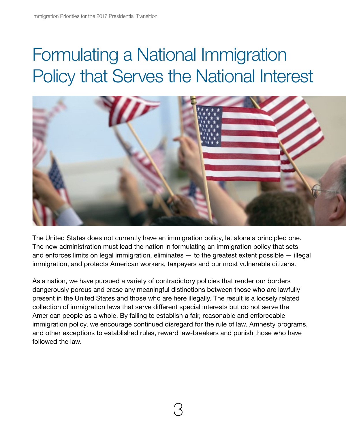## <span id="page-6-0"></span>Formulating a National Immigration Policy that Serves the National Interest



The United States does not currently have an immigration policy, let alone a principled one. The new administration must lead the nation in formulating an immigration policy that sets and enforces limits on legal immigration, eliminates — to the greatest extent possible — illegal immigration, and protects American workers, taxpayers and our most vulnerable citizens.

As a nation, we have pursued a variety of contradictory policies that render our borders dangerously porous and erase any meaningful distinctions between those who are lawfully present in the United States and those who are here illegally. The result is a loosely related collection of immigration laws that serve different special interests but do not serve the American people as a whole. By failing to establish a fair, reasonable and enforceable immigration policy, we encourage continued disregard for the rule of law. Amnesty programs, and other exceptions to established rules, reward law-breakers and punish those who have followed the law.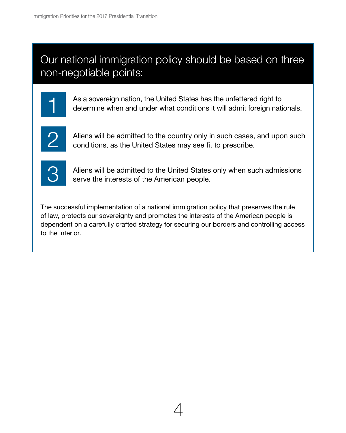### Our national immigration policy should be based on three non-negotiable points:



As a sovereign nation, the United States has the unfettered right to determine when and under what conditions it will admit foreign nationals.



Aliens will be admitted to the country only in such cases, and upon such conditions, as the United States may see fit to prescribe.



Aliens will be admitted to the United States only when such admissions serve the interests of the American people.

The successful implementation of a national immigration policy that preserves the rule of law, protects our sovereignty and promotes the interests of the American people is dependent on a carefully crafted strategy for securing our borders and controlling access to the interior.

4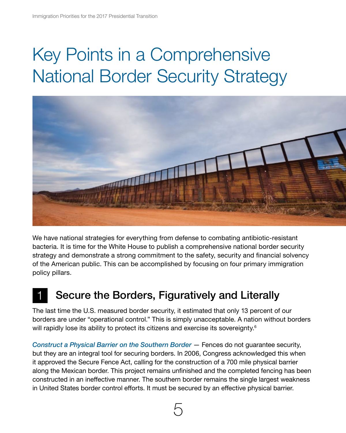## <span id="page-8-0"></span>Key Points in a Comprehensive National Border Security Strategy



We have national strategies for everything from defense to combating antibiotic-resistant bacteria. It is time for the White House to publish a comprehensive national border security strategy and demonstrate a strong commitment to the safety, security and financial solvency of the American public. This can be accomplished by focusing on four primary immigration policy pillars.

### Secure the Borders, Figuratively and Literally

The last time the U.S. measured border security, it estimated that only 13 percent of our borders are under "operational control." This is simply unacceptable. A nation without borders will rapidly lose its ability to protect its citizens and exercise its sovereignty.<sup>6</sup>

*Construct a Physical Barrier on the Southern Border* — Fences do not guarantee security, but they are an integral tool for securing borders. In 2006, Congress acknowledged this when it approved the Secure Fence Act, calling for the construction of a 700 mile physical barrier along the Mexican border. This project remains unfinished and the completed fencing has been constructed in an ineffective manner. The southern border remains the single largest weakness in United States border control efforts. It must be secured by an effective physical barrier.

5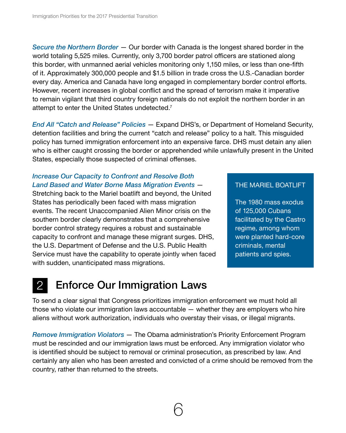*Secure the Northern Border* — Our border with Canada is the longest shared border in the world totaling 5,525 miles. Currently, only 3,700 border patrol officers are stationed along this border, with unmanned aerial vehicles monitoring only 1,150 miles, or less than one-fifth of it. Approximately 300,000 people and \$1.5 billion in trade cross the U.S.-Canadian border every day. America and Canada have long engaged in complementary border control efforts. However, recent increases in global conflict and the spread of terrorism make it imperative to remain vigilant that third country foreign nationals do not exploit the northern border in an attempt to enter the United States undetected.<sup>7</sup>

*End All "Catch and Release" Policies* — Expand DHS's, or Department of Homeland Security, detention facilities and bring the current "catch and release" policy to a halt. This misguided policy has turned immigration enforcement into an expensive farce. DHS must detain any alien who is either caught crossing the border or apprehended while unlawfully present in the United States, especially those suspected of criminal offenses.

#### *Increase Our Capacity to Confront and Resolve Both Land Based and Water Borne Mass Migration Events* —

Stretching back to the Mariel boatlift and beyond, the United States has periodically been faced with mass migration events. The recent Unaccompanied Alien Minor crisis on the southern border clearly demonstrates that a comprehensive border control strategy requires a robust and sustainable capacity to confront and manage these migrant surges. DHS, the U.S. Department of Defense and the U.S. Public Health Service must have the capability to operate jointly when faced with sudden, unanticipated mass migrations.

#### THE MARIEL BOATLIFT

The 1980 mass exodus of 125,000 Cubans facilitated by the Castro regime, among whom were planted hard-core criminals, mental patients and spies.

## 2 Enforce Our Immigration Laws

To send a clear signal that Congress prioritizes immigration enforcement we must hold all those who violate our immigration laws accountable — whether they are employers who hire aliens without work authorization, individuals who overstay their visas, or illegal migrants.

*Remove Immigration Violators* — The Obama administration's Priority Enforcement Program must be rescinded and our immigration laws must be enforced. Any immigration violator who is identified should be subject to removal or criminal prosecution, as prescribed by law. And certainly any alien who has been arrested and convicted of a crime should be removed from the country, rather than returned to the streets.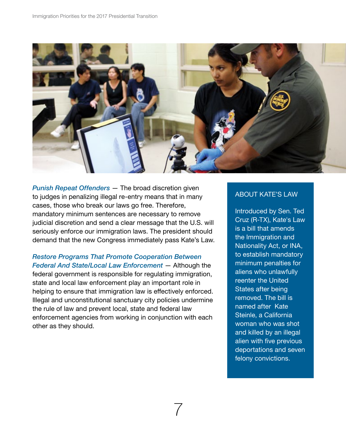

*Punish Repeat Offenders* — The broad discretion given to judges in penalizing illegal re-entry means that in many cases, those who break our laws go free. Therefore, mandatory minimum sentences are necessary to remove judicial discretion and send a clear message that the U.S. will seriously enforce our immigration laws. The president should demand that the new Congress immediately pass Kate's Law.

*Restore Programs That Promote Cooperation Between Federal And State/Local Law Enforcement* — Although the federal government is responsible for regulating immigration, state and local law enforcement play an important role in helping to ensure that immigration law is effectively enforced. Illegal and unconstitutional sanctuary city policies undermine the rule of law and prevent local, state and federal law enforcement agencies from working in conjunction with each other as they should.

#### ABOUT KATE'S LAW

Introduced by Sen. Ted Cruz (R-TX), Kate's Law is a bill that amends the Immigration and Nationality Act, or INA, to establish mandatory minimum penalties for aliens who unlawfully reenter the United States after being removed. The bill is named after Kate Steinle, a California woman who was shot and killed by an illegal alien with five previous deportations and seven felony convictions.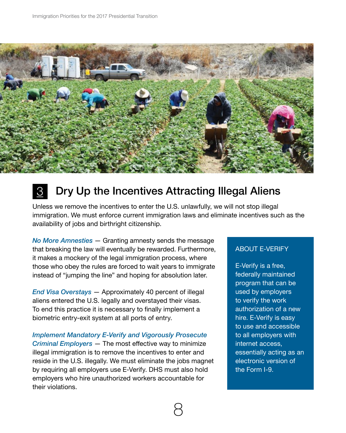

## **3** Dry Up the Incentives Attracting Illegal Aliens

Unless we remove the incentives to enter the U.S. unlawfully, we will not stop illegal immigration. We must enforce current immigration laws and eliminate incentives such as the availability of jobs and birthright citizenship.

*No More Amnesties* — Granting amnesty sends the message that breaking the law will eventually be rewarded. Furthermore, it makes a mockery of the legal immigration process, where those who obey the rules are forced to wait years to immigrate instead of "jumping the line" and hoping for absolution later.

*End Visa Overstays* — Approximately 40 percent of illegal aliens entered the U.S. legally and overstayed their visas. To end this practice it is necessary to finally implement a biometric entry-exit system at all ports of entry.

*Implement Mandatory E-Verify and Vigorously Prosecute Criminal Employers* — The most effective way to minimize illegal immigration is to remove the incentives to enter and reside in the U.S. illegally. We must eliminate the jobs magnet by requiring all employers use E-Verify. DHS must also hold employers who hire unauthorized workers accountable for their violations.

#### ABOUT E-VERIFY

E-Verify is a free, federally maintained program that can be used by employers to verify the work authorization of a new hire. E-Verify is easy to use and accessible to all employers with internet access, essentially acting as an electronic version of the Form I-9.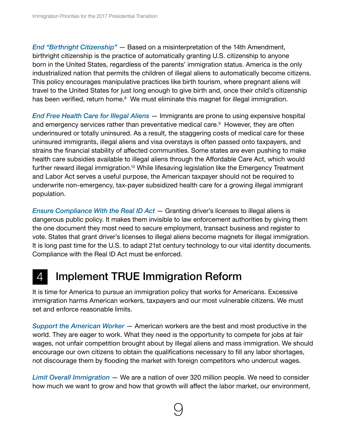*End "Birthright Citizenship"* — Based on a misinterpretation of the 14th Amendment, birthright citizenship is the practice of automatically granting U.S. citizenship to anyone born in the United States, regardless of the parents' immigration status. America is the only industrialized nation that permits the children of illegal aliens to automatically become citizens. This policy encourages manipulative practices like birth tourism, where pregnant aliens will travel to the United States for just long enough to give birth and, once their child's citizenship has been verified, return home.<sup>8</sup> We must eliminate this magnet for illegal immigration.

*End Free Health Care for Illegal Aliens* — Immigrants are prone to using expensive hospital and emergency services rather than preventative medical care.<sup>9</sup> However, they are often underinsured or totally uninsured. As a result, the staggering costs of medical care for these uninsured immigrants, illegal aliens and visa overstays is often passed onto taxpayers, and strains the financial stability of affected communities. Some states are even pushing to make health care subsidies available to illegal aliens through the Affordable Care Act, which would further reward illegal immigration.<sup>10</sup> While lifesaving legislation like the Emergency Treatment and Labor Act serves a useful purpose, the American taxpayer should not be required to underwrite non-emergency, tax-payer subsidized health care for a growing illegal immigrant population.

*Ensure Compliance With the Real ID Act* — Granting driver's licenses to illegal aliens is dangerous public policy. It makes them invisible to law enforcement authorities by giving them the one document they most need to secure employment, transact business and register to vote. States that grant driver's licenses to illegal aliens become magnets for illegal immigration. It is long past time for the U.S. to adapt 21st century technology to our vital identity documents. Compliance with the Real ID Act must be enforced.

### 4 Implement TRUE Immigration Reform

It is time for America to pursue an immigration policy that works for Americans. Excessive immigration harms American workers, taxpayers and our most vulnerable citizens. We must set and enforce reasonable limits.

*Support the American Worker* — American workers are the best and most productive in the world. They are eager to work. What they need is the opportunity to compete for jobs at fair wages, not unfair competition brought about by illegal aliens and mass immigration. We should encourage our own citizens to obtain the qualifications necessary to fill any labor shortages, not discourage them by flooding the market with foreign competitors who undercut wages.

*Limit Overall Immigration* — We are a nation of over 320 million people. We need to consider how much we want to grow and how that growth will affect the labor market, our environment,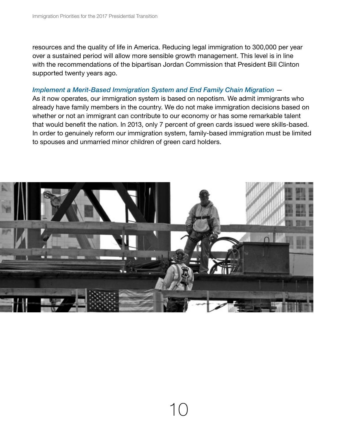resources and the quality of life in America. Reducing legal immigration to 300,000 per year over a sustained period will allow more sensible growth management. This level is in line with the recommendations of the bipartisan Jordan Commission that President Bill Clinton supported twenty years ago.

#### *Implement a Merit-Based Immigration System and End Family Chain Migration* —

As it now operates, our immigration system is based on nepotism. We admit immigrants who already have family members in the country. We do not make immigration decisions based on whether or not an immigrant can contribute to our economy or has some remarkable talent that would benefit the nation. In 2013, only 7 percent of green cards issued were skills-based. In order to genuinely reform our immigration system, family-based immigration must be limited to spouses and unmarried minor children of green card holders.

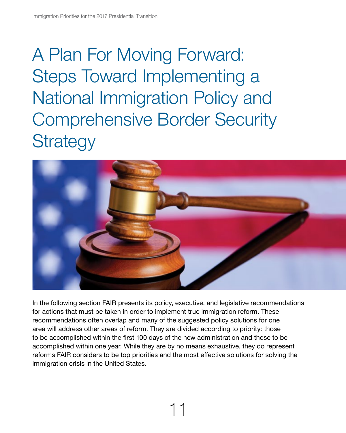## <span id="page-14-0"></span>A Plan For Moving Forward: Steps Toward Implementing a National Immigration Policy and Comprehensive Border Security **Strategy**



In the following section FAIR presents its policy, executive, and legislative recommendations for actions that must be taken in order to implement true immigration reform. These recommendations often overlap and many of the suggested policy solutions for one area will address other areas of reform. They are divided according to priority: those to be accomplished within the first 100 days of the new administration and those to be accomplished within one year. While they are by no means exhaustive, they do represent reforms FAIR considers to be top priorities and the most effective solutions for solving the immigration crisis in the United States.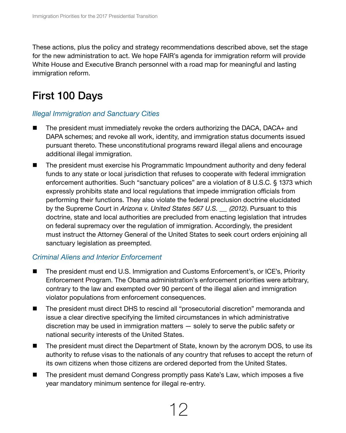These actions, plus the policy and strategy recommendations described above, set the stage for the new administration to act. We hope FAIR's agenda for immigration reform will provide White House and Executive Branch personnel with a road map for meaningful and lasting immigration reform.

### First 100 Days

#### *Illegal Immigration and Sanctuary Cities*

- $\blacksquare$  The president must immediately revoke the orders authorizing the DACA, DACA+ and DAPA schemes; and revoke all work, identity, and immigration status documents issued pursuant thereto. These unconstitutional programs reward illegal aliens and encourage additional illegal immigration.
- **n** The president must exercise his Programmatic Impoundment authority and deny federal funds to any state or local jurisdiction that refuses to cooperate with federal immigration enforcement authorities. Such "sanctuary polices" are a violation of 8 U.S.C. § 1373 which expressly prohibits state and local regulations that impede immigration officials from performing their functions. They also violate the federal preclusion doctrine elucidated by the Supreme Court in *Arizona v. United States 567 U.S. ⸏ (2012)*. Pursuant to this doctrine, state and local authorities are precluded from enacting legislation that intrudes on federal supremacy over the regulation of immigration. Accordingly, the president must instruct the Attorney General of the United States to seek court orders enjoining all sanctuary legislation as preempted.

#### *Criminal Aliens and Interior Enforcement*

- The president must end U.S. Immigration and Customs Enforcement's, or ICE's, Priority Enforcement Program. The Obama administration's enforcement priorities were arbitrary, contrary to the law and exempted over 90 percent of the illegal alien and immigration violator populations from enforcement consequences.
- The president must direct DHS to rescind all "prosecutorial discretion" memoranda and issue a clear directive specifying the limited circumstances in which administrative discretion may be used in immigration matters — solely to serve the public safety or national security interests of the United States.
- The president must direct the Department of State, known by the acronym DOS, to use its authority to refuse visas to the nationals of any country that refuses to accept the return of its own citizens when those citizens are ordered deported from the United States.
- The president must demand Congress promptly pass Kate's Law, which imposes a five year mandatory minimum sentence for illegal re-entry.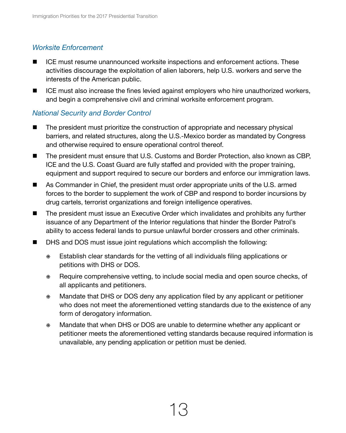#### *Worksite Enforcement*

- ICE must resume unannounced worksite inspections and enforcement actions. These activities discourage the exploitation of alien laborers, help U.S. workers and serve the interests of the American public.
- **n** ICE must also increase the fines levied against employers who hire unauthorized workers, and begin a comprehensive civil and criminal worksite enforcement program.

#### *National Security and Border Control*

- **n** The president must prioritize the construction of appropriate and necessary physical barriers, and related structures, along the U.S.-Mexico border as mandated by Congress and otherwise required to ensure operational control thereof.
- The president must ensure that U.S. Customs and Border Protection, also known as CBP, ICE and the U.S. Coast Guard are fully staffed and provided with the proper training, equipment and support required to secure our borders and enforce our immigration laws.
- As Commander in Chief, the president must order appropriate units of the U.S. armed forces to the border to supplement the work of CBP and respond to border incursions by drug cartels, terrorist organizations and foreign intelligence operatives.
- $\blacksquare$  The president must issue an Executive Order which invalidates and prohibits any further issuance of any Department of the Interior regulations that hinder the Border Patrol's ability to access federal lands to pursue unlawful border crossers and other criminals.
- **n** DHS and DOS must issue joint regulations which accomplish the following:
	- ⁜ Establish clear standards for the vetting of all individuals filing applications or petitions with DHS or DOS.
	- ⁜ Require comprehensive vetting, to include social media and open source checks, of all applicants and petitioners.
	- ⁜ Mandate that DHS or DOS deny any application filed by any applicant or petitioner who does not meet the aforementioned vetting standards due to the existence of any form of derogatory information.
	- ⁜ Mandate that when DHS or DOS are unable to determine whether any applicant or petitioner meets the aforementioned vetting standards because required information is unavailable, any pending application or petition must be denied.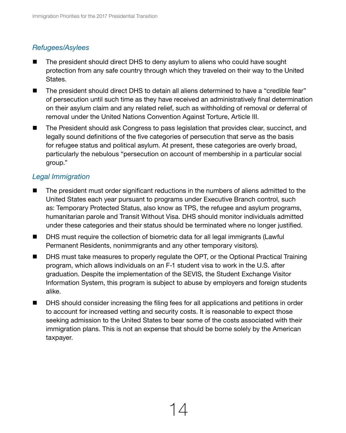#### *Refugees/Asylees*

- The president should direct DHS to deny asylum to aliens who could have sought protection from any safe country through which they traveled on their way to the United States.
- **n** The president should direct DHS to detain all aliens determined to have a "credible fear" of persecution until such time as they have received an administratively final determination on their asylum claim and any related relief, such as withholding of removal or deferral of removal under the United Nations Convention Against Torture, Article III.
- The President should ask Congress to pass legislation that provides clear, succinct, and legally sound definitions of the five categories of persecution that serve as the basis for refugee status and political asylum. At present, these categories are overly broad, particularly the nebulous "persecution on account of membership in a particular social group."

#### *Legal Immigration*

- **n** The president must order significant reductions in the numbers of aliens admitted to the United States each year pursuant to programs under Executive Branch control, such as: Temporary Protected Status, also know as TPS, the refugee and asylum programs, humanitarian parole and Transit Without Visa. DHS should monitor individuals admitted under these categories and their status should be terminated where no longer justified.
- DHS must require the collection of biometric data for all legal immigrants (Lawful Permanent Residents, nonimmigrants and any other temporary visitors).
- **n** DHS must take measures to properly regulate the OPT, or the Optional Practical Training program, which allows individuals on an F-1 student visa to work in the U.S. after graduation. Despite the implementation of the SEVIS, the Student Exchange Visitor Information System, this program is subject to abuse by employers and foreign students alike.
- **n** DHS should consider increasing the filing fees for all applications and petitions in order to account for increased vetting and security costs. It is reasonable to expect those seeking admission to the United States to bear some of the costs associated with their immigration plans. This is not an expense that should be borne solely by the American taxpayer.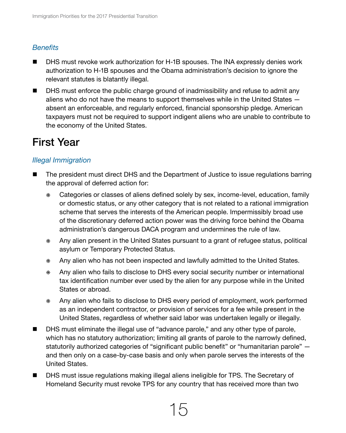#### *Benefits*

- DHS must revoke work authorization for H-1B spouses. The INA expressly denies work authorization to H-1B spouses and the Obama administration's decision to ignore the relevant statutes is blatantly illegal.
- **n** DHS must enforce the public charge ground of inadmissibility and refuse to admit any aliens who do not have the means to support themselves while in the United States absent an enforceable, and regularly enforced, financial sponsorship pledge. American taxpayers must not be required to support indigent aliens who are unable to contribute to the economy of the United States.

### First Year

### *Illegal Immigration*

- The president must direct DHS and the Department of Justice to issue regulations barring the approval of deferred action for:
	- ⁜ Categories or classes of aliens defined solely by sex, income-level, education, family or domestic status, or any other category that is not related to a rational immigration scheme that serves the interests of the American people. Impermissibly broad use of the discretionary deferred action power was the driving force behind the Obama administration's dangerous DACA program and undermines the rule of law.
	- ⁜ Any alien present in the United States pursuant to a grant of refugee status, political asylum or Temporary Protected Status.
	- ⁜ Any alien who has not been inspected and lawfully admitted to the United States.
	- ⁜ Any alien who fails to disclose to DHS every social security number or international tax identification number ever used by the alien for any purpose while in the United States or abroad.
	- ⁜ Any alien who fails to disclose to DHS every period of employment, work performed as an independent contractor, or provision of services for a fee while present in the United States, regardless of whether said labor was undertaken legally or illegally.
- **n** DHS must eliminate the illegal use of "advance parole," and any other type of parole, which has no statutory authorization; limiting all grants of parole to the narrowly defined, statutorily authorized categories of "significant public benefit" or "humanitarian parole" and then only on a case-by-case basis and only when parole serves the interests of the United States.
- **n** DHS must issue regulations making illegal aliens ineligible for TPS. The Secretary of Homeland Security must revoke TPS for any country that has received more than two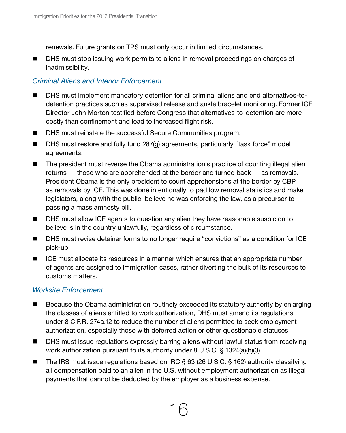renewals. Future grants on TPS must only occur in limited circumstances.

■ DHS must stop issuing work permits to aliens in removal proceedings on charges of inadmissibility.

#### *Criminal Aliens and Interior Enforcement*

- DHS must implement mandatory detention for all criminal aliens and end alternatives-todetention practices such as supervised release and ankle bracelet monitoring. Former ICE Director John Morton testified before Congress that alternatives-to-detention are more costly than confinement and lead to increased flight risk.
- DHS must reinstate the successful Secure Communities program.
- DHS must restore and fully fund 287(g) agreements, particularly "task force" model agreements.
- **n** The president must reverse the Obama administration's practice of counting illegal alien returns — those who are apprehended at the border and turned back — as removals. President Obama is the only president to count apprehensions at the border by CBP as removals by ICE. This was done intentionally to pad low removal statistics and make legislators, along with the public, believe he was enforcing the law, as a precursor to passing a mass amnesty bill.
- DHS must allow ICE agents to question any alien they have reasonable suspicion to believe is in the country unlawfully, regardless of circumstance.
- DHS must revise detainer forms to no longer require "convictions" as a condition for ICE pick-up.
- $\blacksquare$  ICE must allocate its resources in a manner which ensures that an appropriate number of agents are assigned to immigration cases, rather diverting the bulk of its resources to customs matters.

#### *Worksite Enforcement*

- $\blacksquare$  Because the Obama administration routinely exceeded its statutory authority by enlarging the classes of aliens entitled to work authorization, DHS must amend its regulations under 8 C.F.R. 274a.12 to reduce the number of aliens permitted to seek employment authorization, especially those with deferred action or other questionable statuses.
- DHS must issue regulations expressly barring aliens without lawful status from receiving work authorization pursuant to its authority under 8 U.S.C. § 1324(a)(h)(3).
- The IRS must issue regulations based on IRC § 63 (26 U.S.C. § 162) authority classifying all compensation paid to an alien in the U.S. without employment authorization as illegal payments that cannot be deducted by the employer as a business expense.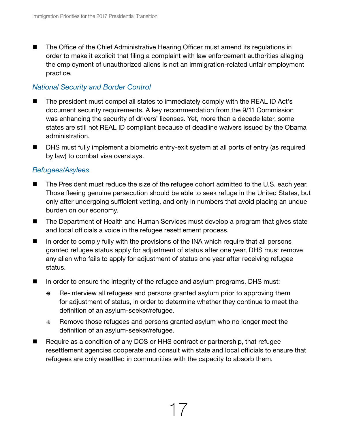■ The Office of the Chief Administrative Hearing Officer must amend its regulations in order to make it explicit that filing a complaint with law enforcement authorities alleging the employment of unauthorized aliens is not an immigration-related unfair employment practice.

#### *National Security and Border Control*

- The president must compel all states to immediately comply with the REAL ID Act's document security requirements. A key recommendation from the 9/11 Commission was enhancing the security of drivers' licenses. Yet, more than a decade later, some states are still not REAL ID compliant because of deadline waivers issued by the Obama administration.
- DHS must fully implement a biometric entry-exit system at all ports of entry (as required by law) to combat visa overstays.

#### *Refugees/Asylees*

- **n** The President must reduce the size of the refugee cohort admitted to the U.S. each year. Those fleeing genuine persecution should be able to seek refuge in the United States, but only after undergoing sufficient vetting, and only in numbers that avoid placing an undue burden on our economy.
- The Department of Health and Human Services must develop a program that gives state and local officials a voice in the refugee resettlement process.
- **n** In order to comply fully with the provisions of the INA which require that all persons granted refugee status apply for adjustment of status after one year, DHS must remove any alien who fails to apply for adjustment of status one year after receiving refugee status.
- In order to ensure the integrity of the refugee and asylum programs, DHS must:
	- ⁜ Re-interview all refugees and persons granted asylum prior to approving them for adjustment of status, in order to determine whether they continue to meet the definition of an asylum-seeker/refugee.
	- ⁜ Remove those refugees and persons granted asylum who no longer meet the definition of an asylum-seeker/refugee.
- Require as a condition of any DOS or HHS contract or partnership, that refugee resettlement agencies cooperate and consult with state and local officials to ensure that refugees are only resettled in communities with the capacity to absorb them.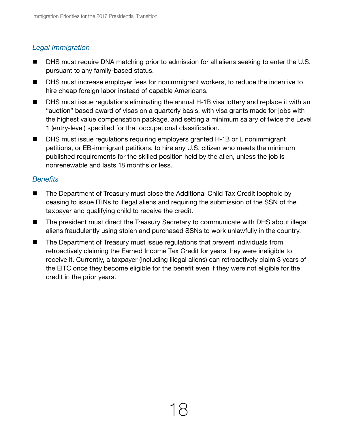#### *Legal Immigration*

- DHS must require DNA matching prior to admission for all aliens seeking to enter the U.S. pursuant to any family-based status.
- DHS must increase employer fees for nonimmigrant workers, to reduce the incentive to hire cheap foreign labor instead of capable Americans.
- DHS must issue regulations eliminating the annual H-1B visa lottery and replace it with an "auction" based award of visas on a quarterly basis, with visa grants made for jobs with the highest value compensation package, and setting a minimum salary of twice the Level 1 (entry-level) specified for that occupational classification.
- DHS must issue regulations requiring employers granted H-1B or L nonimmigrant petitions, or EB-immigrant petitions, to hire any U.S. citizen who meets the minimum published requirements for the skilled position held by the alien, unless the job is nonrenewable and lasts 18 months or less.

#### *Benefits*

- The Department of Treasury must close the Additional Child Tax Credit loophole by ceasing to issue ITINs to illegal aliens and requiring the submission of the SSN of the taxpayer and qualifying child to receive the credit.
- **n** The president must direct the Treasury Secretary to communicate with DHS about illegal aliens fraudulently using stolen and purchased SSNs to work unlawfully in the country.
- $\blacksquare$  The Department of Treasury must issue regulations that prevent individuals from retroactively claiming the Earned Income Tax Credit for years they were ineligible to receive it. Currently, a taxpayer (including illegal aliens) can retroactively claim 3 years of the EITC once they become eligible for the benefit even if they were not eligible for the credit in the prior years.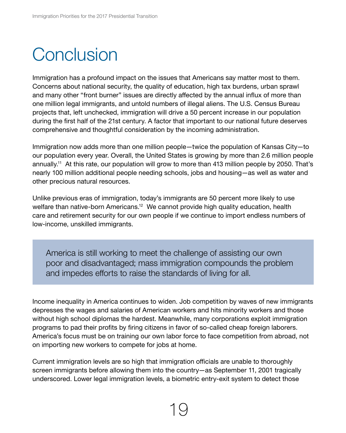## <span id="page-22-0"></span>**Conclusion**

Immigration has a profound impact on the issues that Americans say matter most to them. Concerns about national security, the quality of education, high tax burdens, urban sprawl and many other "front burner" issues are directly affected by the annual influx of more than one million legal immigrants, and untold numbers of illegal aliens. The U.S. Census Bureau projects that, left unchecked, immigration will drive a 50 percent increase in our population during the first half of the 21st century. A factor that important to our national future deserves comprehensive and thoughtful consideration by the incoming administration.

Immigration now adds more than one million people—twice the population of Kansas City—to our population every year. Overall, the United States is growing by more than 2.6 million people annually.11 At this rate, our population will grow to more than 413 million people by 2050. That's nearly 100 million additional people needing schools, jobs and housing—as well as water and other precious natural resources.

Unlike previous eras of immigration, today's immigrants are 50 percent more likely to use welfare than native-born Americans.<sup>12</sup> We cannot provide high quality education, health care and retirement security for our own people if we continue to import endless numbers of low-income, unskilled immigrants.

America is still working to meet the challenge of assisting our own poor and disadvantaged; mass immigration compounds the problem and impedes efforts to raise the standards of living for all.

Income inequality in America continues to widen. Job competition by waves of new immigrants depresses the wages and salaries of American workers and hits minority workers and those without high school diplomas the hardest. Meanwhile, many corporations exploit immigration programs to pad their profits by firing citizens in favor of so-called cheap foreign laborers. America's focus must be on training our own labor force to face competition from abroad, not on importing new workers to compete for jobs at home.

Current immigration levels are so high that immigration officials are unable to thoroughly screen immigrants before allowing them into the country—as September 11, 2001 tragically underscored. Lower legal immigration levels, a biometric entry-exit system to detect those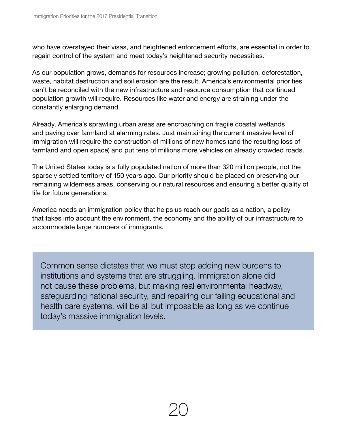who have overstayed their visas, and heightened enforcement efforts, are essential in order to regain control of the system and meet today's heightened security necessities.

As our population grows, demands for resources increase; growing pollution, deforestation, waste, habitat destruction and soil erosion are the result. America's environmental priorities can't be reconciled with the new infrastructure and resource consumption that continued population growth will require. Resources like water and energy are straining under the constantly enlarging demand.

Already, America's sprawling urban areas are encroaching on fragile coastal wetlands and paving over farmland at alarming rates. Just maintaining the current massive level of immigration will require the construction of millions of new homes (and the resulting loss of farmland and open space) and put tens of millions more vehicles on already crowded roads.

The United States today is a fully populated nation of more than 320 million people, not the sparsely settled territory of 150 years ago. Our priority should be placed on preserving our remaining wilderness areas, conserving our natural resources and ensuring a better quality of life for future generations.

America needs an immigration policy that helps us reach our goals as a nation, a policy that takes into account the environment, the economy and the ability of our infrastructure to accommodate large numbers of immigrants.

Common sense dictates that we must stop adding new burdens to institutions and systems that are struggling. Immigration alone did not cause these problems, but making real environmental headway, safeguarding national security, and repairing our failing educational and health care systems, will be all but impossible as long as we continue today's massive immigration levels.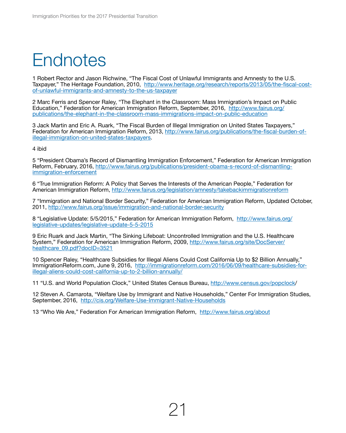## **Endnotes**

1 Robert Rector and Jason Richwine, "The Fiscal Cost of Unlawful Immigrants and Amnesty to the U.S. Taxpayer," The Heritage Foundation, 2010, [http://www.heritage.org/research/reports/2013/05/the-fiscal-cost](http://www.heritage.org/research/reports/2013/05/the-fiscal-cost-of-unlawful-immigrants-and-amnesty-to-the-us-taxpayer?ac=1)[of-unlawful-immigrants-and-amnesty-to-the-us-taxpayer](http://www.heritage.org/research/reports/2013/05/the-fiscal-cost-of-unlawful-immigrants-and-amnesty-to-the-us-taxpayer?ac=1)

2 Marc Ferris and Spencer Raley, "The Elephant in the Classroom: Mass Immigration's Impact on Public Education," Federation for American Immigration Reform, September, 2016, [http://www.fairus.org/](http://www.fairus.org/publications/the-elephant-in-the-classroom-mass-immigrations-impact-on-public-education) [publications/the-elephant-in-the-classroom-mass-immigrations-impact-on-public-education](http://www.fairus.org/publications/the-elephant-in-the-classroom-mass-immigrations-impact-on-public-education)

3 Jack Martin and Eric A. Ruark, "The Fiscal Burden of Illegal Immigration on United States Taxpayers," Federation for American Immigration Reform, 2013, [http://www.fairus.org/publications/the-fiscal-burden-of](http://www.fairus.org/publications/the-fiscal-burden-of-illegal-immigration-on-united-states-taxpayers)[illegal-immigration-on-united-states-taxpayers](http://www.fairus.org/publications/the-fiscal-burden-of-illegal-immigration-on-united-states-taxpayers).

4 ibid

5 "President Obama's Record of Dismantling Immigration Enforcement," Federation for American Immigration Reform, February, 2016, [http://www.fairus.org/publications/president-obama-s-record-of-dismantling](http://www.fairus.org/publications/president-obama-s-record-of-dismantling-immigration-enforcement)[immigration-enforcement](http://www.fairus.org/publications/president-obama-s-record-of-dismantling-immigration-enforcement)

6 "True Immigration Reform: A Policy that Serves the Interests of the American People," Federation for American Immigration Reform,<http://www.fairus.org/legislation/amnesty/takebackimmigrationreform>

7 "Immigration and National Border Security," Federation for American Immigration Reform, Updated October, 2011,<http://www.fairus.org/issue/immigration-and-national-border-security>

8 "Legislative Update: 5/5/2015," Federation for American Immigration Reform, [http://www.fairus.org/](http://www.fairus.org/legislative-updates/legislative-update-5-5-2015) [legislative-updates/legislative-update-5-5-2015](http://www.fairus.org/legislative-updates/legislative-update-5-5-2015)

9 Eric Ruark and Jack Martin, "The Sinking Lifeboat: Uncontrolled Immigration and the U.S. Healthcare System," Federation for American Immigration Reform, 2009, [http://www.fairus.org/site/DocServer/](http://www.fairus.org/site/DocServer/healthcare_09.pdf?docID=3521) healthcare 09.pdf?docID=3521

10 Spencer Raley, "Healthcare Subsidies for Illegal Aliens Could Cost California Up to \$2 Billion Annually," ImmigrationReform.com, June 9, 2016, [http://immigrationreform.com/2016/06/09/healthcare-subsidies-for](http://immigrationreform.com/2016/06/09/healthcare-subsidies-for-illegal-aliens-could-cost-california-up-to-2-billion-annually/)[illegal-aliens-could-cost-california-up-to-2-billion-annually/](http://immigrationreform.com/2016/06/09/healthcare-subsidies-for-illegal-aliens-could-cost-california-up-to-2-billion-annually/)

11 "U.S. and World Population Clock," United States Census Bureau, <http://www.census.gov/popclock>/

12 Steven A. Camarota, "Welfare Use by Immigrant and Native Households," Center For Immigration Studies, September, 2016, <http://cis.org/Welfare-Use-Immigrant-Native-Households>

13 "Who We Are," Federation For American Immigration Reform, <http://www.fairus.org/about>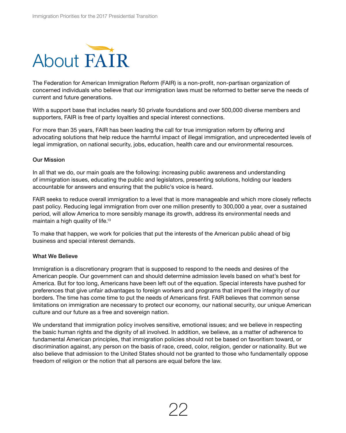<span id="page-25-0"></span>

The Federation for American Immigration Reform (FAIR) is a non-profit, non-partisan organization of concerned individuals who believe that our immigration laws must be reformed to better serve the needs of current and future generations.

With a support base that includes nearly 50 private foundations and over 500,000 diverse members and supporters, FAIR is free of party loyalties and special interest connections.

For more than 35 years, FAIR has been leading the call for true immigration reform by offering and advocating solutions that help reduce the harmful impact of illegal immigration, and unprecedented levels of legal immigration, on national security, jobs, education, health care and our environmental resources.

#### Our Mission

In all that we do, our main goals are the following: increasing public awareness and understanding of immigration issues, educating the public and legislators, presenting solutions, holding our leaders accountable for answers and ensuring that the public's voice is heard.

FAIR seeks to reduce overall immigration to a level that is more manageable and which more closely reflects past policy. Reducing legal immigration from over one million presently to 300,000 a year, over a sustained period, will allow America to more sensibly manage its growth, address its environmental needs and maintain a high quality of life.<sup>13</sup>

To make that happen, we work for policies that put the interests of the American public ahead of big business and special interest demands.

#### What We Believe

Immigration is a discretionary program that is supposed to respond to the needs and desires of the American people. Our government can and should determine admission levels based on what's best for America. But for too long, Americans have been left out of the equation. Special interests have pushed for preferences that give unfair advantages to foreign workers and programs that imperil the integrity of our borders. The time has come time to put the needs of Americans first. FAIR believes that common sense limitations on immigration are necessary to protect our economy, our national security, our unique American culture and our future as a free and sovereign nation.

We understand that immigration policy involves sensitive, emotional issues; and we believe in respecting the basic human rights and the dignity of all involved. In addition, we believe, as a matter of adherence to fundamental American principles, that immigration policies should not be based on favoritism toward, or discrimination against, any person on the basis of race, creed, color, religion, gender or nationality. But we also believe that admission to the United States should not be granted to those who fundamentally oppose freedom of religion or the notion that all persons are equal before the law.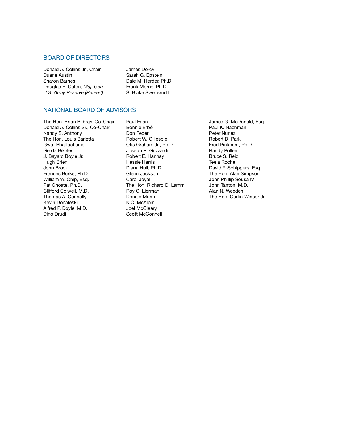#### Board of Directors

Donald A. Collins Jr., Chair Duane Austin Sharon Barnes Douglas E. Caton, *Maj. Gen. U.S. Army Reserve (Retired)*

James Dorcy Sarah G. Epstein Dale M. Herder, Ph.D. Frank Morris, Ph.D. S. Blake Swensrud II

#### National Board of Advisors

The Hon. Brian Bilbray, Co-Chair Donald A. Collins Sr., Co-Chair Nancy S. Anthony The Hon. Louis Barletta Gwat Bhattacharjie Gerda Bikales J. Bayard Boyle Jr. Hugh Brien John Brock Frances Burke, Ph.D. William W. Chip, Esq. Pat Choate, Ph.D. Clifford Colwell, M.D. Thomas A. Connolly Kevin Donaleski Alfred P. Doyle, M.D. Dino Drudi

Paul Egan Bonnie Erbé Don Feder Robert W. Gillespie Otis Graham Jr., Ph.D. Joseph R. Guzzardi Robert E. Hannay Hessie Harris Diana Hull, Ph.D. Glenn Jackson Carol Joyal The Hon. Richard D. Lamm Roy C. Lierman Donald Mann K.C. McAlpin Joel McCleary Scott McConnell

James G. McDonald, Esq. Paul K. Nachman Peter Nunez Robert D. Park Fred Pinkham, Ph.D. Randy Pullen Bruce S. Reid Teela Roche David P. Schippers, Esq. The Hon. Alan Simpson John Phillip Sousa IV John Tanton, M.D. Alan N. Weeden The Hon. Curtin Winsor Jr.